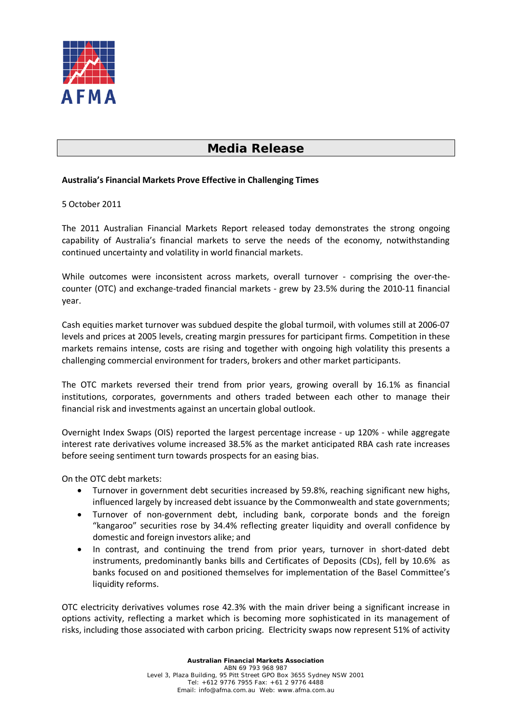

## **Media Release**

## **Australia's Financial Markets Prove Effective in Challenging Times**

## 5 October 2011

The 2011 Australian Financial Markets Report released today demonstrates the strong ongoing capability of Australia's financial markets to serve the needs of the economy, notwithstanding continued uncertainty and volatility in world financial markets.

While outcomes were inconsistent across markets, overall turnover - comprising the over-thecounter (OTC) and exchange-traded financial markets - grew by 23.5% during the 2010-11 financial year.

Cash equities market turnover was subdued despite the global turmoil, with volumes still at 2006-07 levels and prices at 2005 levels, creating margin pressures for participant firms. Competition in these markets remains intense, costs are rising and together with ongoing high volatility this presents a challenging commercial environment for traders, brokers and other market participants.

The OTC markets reversed their trend from prior years, growing overall by 16.1% as financial institutions, corporates, governments and others traded between each other to manage their financial risk and investments against an uncertain global outlook.

Overnight Index Swaps (OIS) reported the largest percentage increase - up 120% - while aggregate interest rate derivatives volume increased 38.5% as the market anticipated RBA cash rate increases before seeing sentiment turn towards prospects for an easing bias.

On the OTC debt markets:

- Turnover in government debt securities increased by 59.8%, reaching significant new highs, influenced largely by increased debt issuance by the Commonwealth and state governments;
- Turnover of non-government debt, including bank, corporate bonds and the foreign "kangaroo" securities rose by 34.4% reflecting greater liquidity and overall confidence by domestic and foreign investors alike; and
- In contrast, and continuing the trend from prior years, turnover in short-dated debt instruments, predominantly banks bills and Certificates of Deposits (CDs), fell by 10.6% as banks focused on and positioned themselves for implementation of the Basel Committee's liquidity reforms.

OTC electricity derivatives volumes rose 42.3% with the main driver being a significant increase in options activity, reflecting a market which is becoming more sophisticated in its management of risks, including those associated with carbon pricing. Electricity swaps now represent 51% of activity